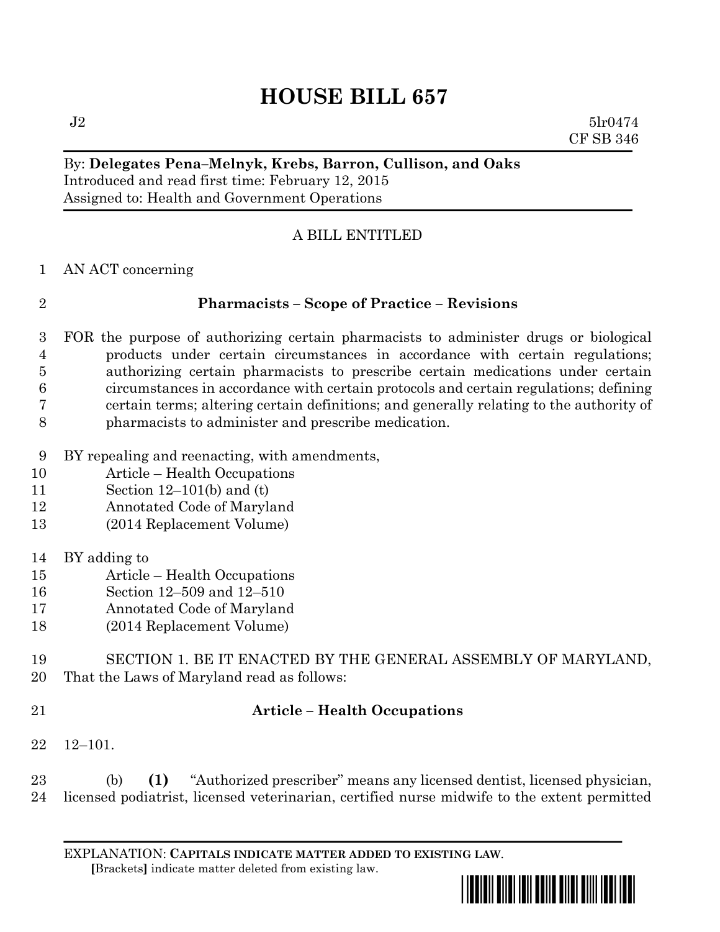# **HOUSE BILL 657**

 $J2 \t\t 5lr0474$ CF SB 346

### By: **Delegates Pena–Melnyk, Krebs, Barron, Cullison, and Oaks** Introduced and read first time: February 12, 2015 Assigned to: Health and Government Operations

# A BILL ENTITLED

AN ACT concerning

## **Pharmacists – Scope of Practice – Revisions**

- FOR the purpose of authorizing certain pharmacists to administer drugs or biological products under certain circumstances in accordance with certain regulations; authorizing certain pharmacists to prescribe certain medications under certain circumstances in accordance with certain protocols and certain regulations; defining certain terms; altering certain definitions; and generally relating to the authority of pharmacists to administer and prescribe medication.
- BY repealing and reenacting, with amendments,
- Article Health Occupations
- Section 12–101(b) and (t)
- Annotated Code of Maryland
- (2014 Replacement Volume)
- BY adding to
- Article Health Occupations
- Section 12–509 and 12–510
- Annotated Code of Maryland
- (2014 Replacement Volume)
- SECTION 1. BE IT ENACTED BY THE GENERAL ASSEMBLY OF MARYLAND, That the Laws of Maryland read as follows:
- 

# **Article – Health Occupations**

12–101.

 (b) **(1)** "Authorized prescriber" means any licensed dentist, licensed physician, licensed podiatrist, licensed veterinarian, certified nurse midwife to the extent permitted

EXPLANATION: **CAPITALS INDICATE MATTER ADDED TO EXISTING LAW**.  **[**Brackets**]** indicate matter deleted from existing law.

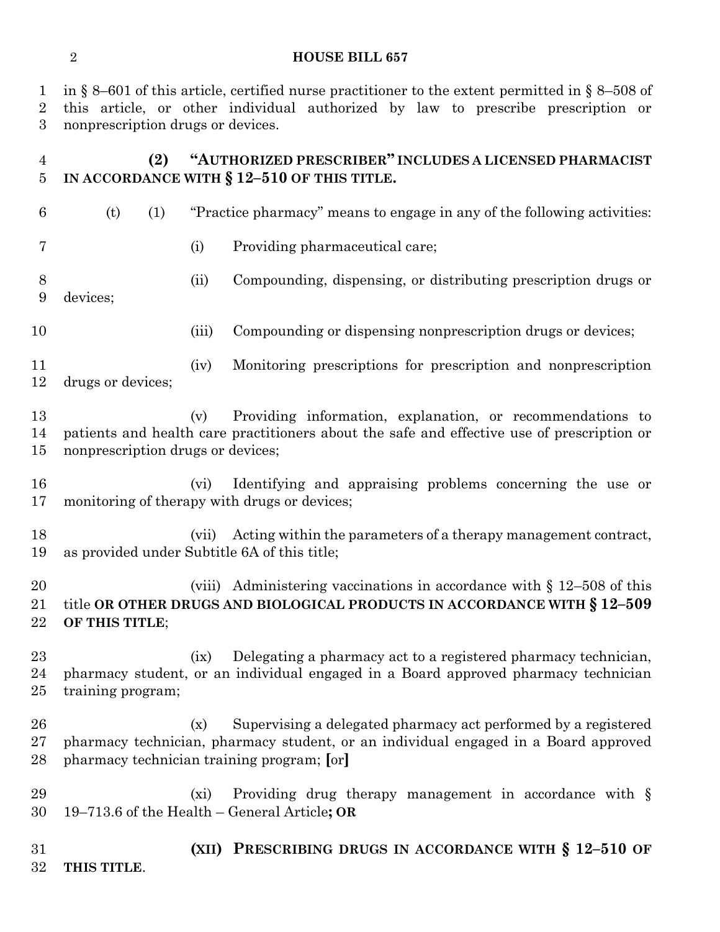in § 8–601 of this article, certified nurse practitioner to the extent permitted in § 8–508 of this article, or other individual authorized by law to prescribe prescription or nonprescription drugs or devices. **(2) "AUTHORIZED PRESCRIBER" INCLUDES A LICENSED PHARMACIST IN ACCORDANCE WITH § 12–510 OF THIS TITLE.** (t) (1) "Practice pharmacy" means to engage in any of the following activities: (i) Providing pharmaceutical care; (ii) Compounding, dispensing, or distributing prescription drugs or devices; 10 (iii) Compounding or dispensing nonprescription drugs or devices; (iv) Monitoring prescriptions for prescription and nonprescription drugs or devices; (v) Providing information, explanation, or recommendations to patients and health care practitioners about the safe and effective use of prescription or nonprescription drugs or devices; (vi) Identifying and appraising problems concerning the use or monitoring of therapy with drugs or devices; (vii) Acting within the parameters of a therapy management contract, as provided under Subtitle 6A of this title; 20 (viii) Administering vaccinations in accordance with § 12–508 of this title **OR OTHER DRUGS AND BIOLOGICAL PRODUCTS IN ACCORDANCE WITH § 12–509 OF THIS TITLE**; (ix) Delegating a pharmacy act to a registered pharmacy technician, pharmacy student, or an individual engaged in a Board approved pharmacy technician training program; (x) Supervising a delegated pharmacy act performed by a registered pharmacy technician, pharmacy student, or an individual engaged in a Board approved pharmacy technician training program; **[**or**]** 29 (xi) Providing drug therapy management in accordance with § 19–713.6 of the Health – General Article**; OR (XII) PRESCRIBING DRUGS IN ACCORDANCE WITH § 12–510 OF** 

**THIS TITLE**.

#### **HOUSE BILL 657**